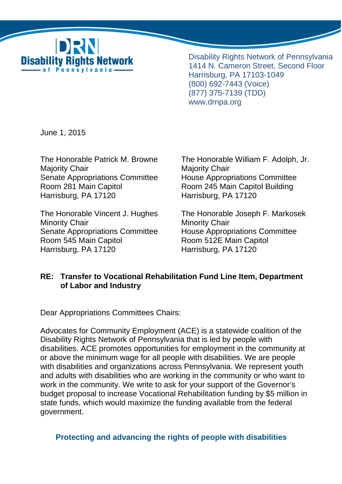

Disability Rights Network of Pennsylvania 1414 N. Cameron Street, Second Floor Harrisburg, PA 17103-1049 (800) 692-7443 (Voice) (877) 375-7139 (TDD) www.drnpa.org

June 1, 2015

Majority Chair **Majority Chair** Majority Chair Senate Appropriations Committee House Appropriations Committee Room 281 Main Capitol **Room 245 Main Capitol Building** Harrisburg, PA 17120 Harrisburg, PA 17120

Minority Chair **Minority Chair** Minority Chair Senate Appropriations Committee House Appropriations Committee Room 545 Main Capitol **Room 512E Main Capitol** Harrisburg, PA 17120 Harrisburg, PA 17120

The Honorable Patrick M. Browne The Honorable William F. Adolph, Jr.

The Honorable Vincent J. Hughes The Honorable Joseph F. Markosek

# **RE: Transfer to Vocational Rehabilitation Fund Line Item, Department of Labor and Industry**

Dear Appropriations Committees Chairs:

Advocates for Community Employment (ACE) is a statewide coalition of the Disability Rights Network of Pennsylvania that is led by people with disabilities. ACE promotes opportunities for employment in the community at or above the minimum wage for all people with disabilities. We are people with disabilities and organizations across Pennsylvania. We represent youth and adults with disabilities who are working in the community or who want to work in the community. We write to ask for your support of the Governor's budget proposal to increase Vocational Rehabilitation funding by \$5 million in state funds, which would maximize the funding available from the federal government.

**Protecting and advancing the rights of people with disabilities**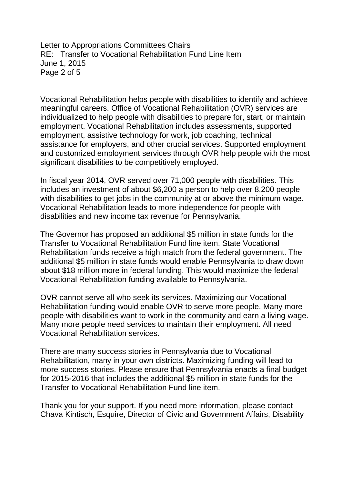Letter to Appropriations Committees Chairs RE: Transfer to Vocational Rehabilitation Fund Line Item June 1, 2015 Page 2 of 5

Vocational Rehabilitation helps people with disabilities to identify and achieve meaningful careers. Office of Vocational Rehabilitation (OVR) services are individualized to help people with disabilities to prepare for, start, or maintain employment. Vocational Rehabilitation includes assessments, supported employment, assistive technology for work, job coaching, technical assistance for employers, and other crucial services. Supported employment and customized employment services through OVR help people with the most significant disabilities to be competitively employed.

In fiscal year 2014, OVR served over 71,000 people with disabilities. This includes an investment of about \$6,200 a person to help over 8,200 people with disabilities to get jobs in the community at or above the minimum wage. Vocational Rehabilitation leads to more independence for people with disabilities and new income tax revenue for Pennsylvania.

The Governor has proposed an additional \$5 million in state funds for the Transfer to Vocational Rehabilitation Fund line item. State Vocational Rehabilitation funds receive a high match from the federal government. The additional \$5 million in state funds would enable Pennsylvania to draw down about \$18 million more in federal funding. This would maximize the federal Vocational Rehabilitation funding available to Pennsylvania.

OVR cannot serve all who seek its services. Maximizing our Vocational Rehabilitation funding would enable OVR to serve more people. Many more people with disabilities want to work in the community and earn a living wage. Many more people need services to maintain their employment. All need Vocational Rehabilitation services.

There are many success stories in Pennsylvania due to Vocational Rehabilitation, many in your own districts. Maximizing funding will lead to more success stories. Please ensure that Pennsylvania enacts a final budget for 2015-2016 that includes the additional \$5 million in state funds for the Transfer to Vocational Rehabilitation Fund line item.

Thank you for your support. If you need more information, please contact Chava Kintisch, Esquire, Director of Civic and Government Affairs, Disability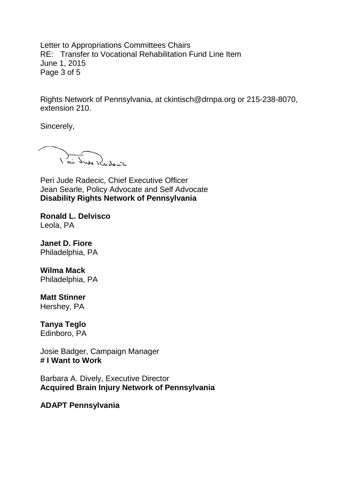Letter to Appropriations Committees Chairs RE: Transfer to Vocational Rehabilitation Fund Line Item June 1, 2015 Page 3 of 5

Rights Network of Pennsylvania, at ckintisch@drnpa.org or 215-238-8070, extension 210.

Sincerely,

lei Jude Kudouic

Peri Jude Radecic, Chief Executive Officer Jean Searle, Policy Advocate and Self Advocate **Disability Rights Network of Pennsylvania** 

**Ronald L. Delvisco**  Leola, PA

**Janet D. Fiore**  Philadelphia, PA

**Wilma Mack**  Philadelphia, PA

**Matt Stinner** 

Hershey, PA

# **Tanya Teglo**

Edinboro, PA

Josie Badger, Campaign Manager **# I Want to Work** 

Barbara A. Dively, Executive Director **Acquired Brain Injury Network of Pennsylvania** 

**ADAPT Pennsylvania**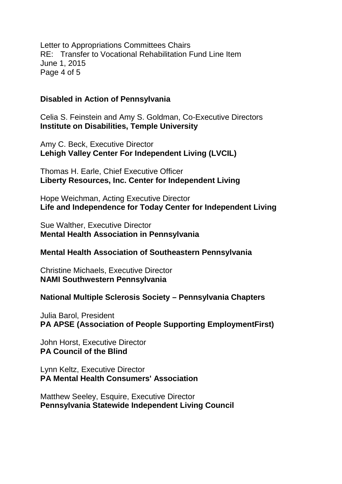Letter to Appropriations Committees Chairs RE: Transfer to Vocational Rehabilitation Fund Line Item June 1, 2015 Page 4 of 5

## **Disabled in Action of Pennsylvania**

Celia S. Feinstein and Amy S. Goldman, Co-Executive Directors **Institute on Disabilities, Temple University** 

Amy C. Beck, Executive Director **Lehigh Valley Center For Independent Living (LVCIL)**

Thomas H. Earle, Chief Executive Officer **Liberty Resources, Inc. Center for Independent Living** 

Hope Weichman, Acting Executive Director **Life and Independence for Today Center for Independent Living**

Sue Walther, Executive Director **Mental Health Association in Pennsylvania** 

### **Mental Health Association of Southeastern Pennsylvania**

Christine Michaels, Executive Director **NAMI Southwestern Pennsylvania** 

### **National Multiple Sclerosis Society – Pennsylvania Chapters**

Julia Barol, President **PA APSE (Association of People Supporting EmploymentFirst)** 

John Horst, Executive Director **PA Council of the Blind** 

Lynn Keltz, Executive Director **PA Mental Health Consumers' Association** 

Matthew Seeley, Esquire, Executive Director **Pennsylvania Statewide Independent Living Council**